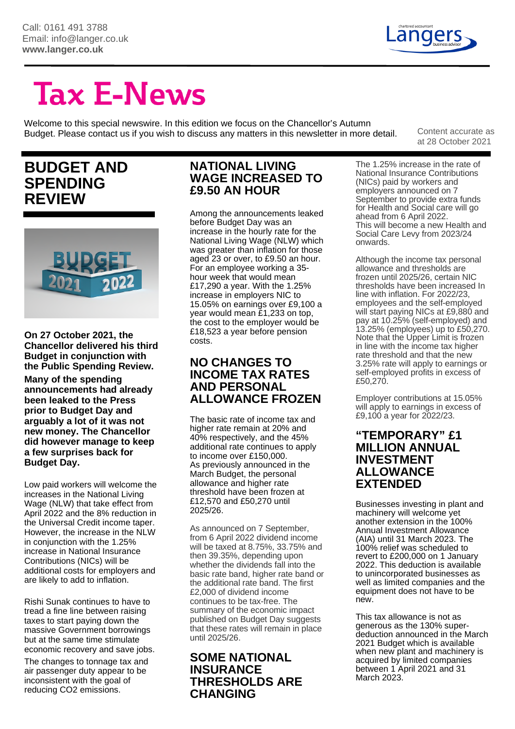

at 28 October 2021

# **Tax E-News**

Welcome to this special newswire. In this edition we focus on the Chancellor's Autumn Budget. Please contact us if you wish to discuss any matters in this newsletter in more detail. Content accurate as

# **BUDGET AND SPENDING REVIEW**



**On 27 October 2021, the Chancellor delivered his third Budget in conjunction with the Public Spending Review. Many of the spending announcements had already been leaked to the Press prior to Budget Day and arguably a lot of it was not new money. The Chancellor did however manage to keep a few surprises back for Budget Day.** 

Low paid workers will welcome the increases in the National Living Wage (NLW) that take effect from April 2022 and the 8% reduction in the Universal Credit income taper. However, the increase in the NLW in conjunction with the 1.25% increase in National Insurance Contributions (NICs) will be additional costs for employers and are likely to add to inflation.

Rishi Sunak continues to have to tread a fine line between raising taxes to start paying down the massive Government borrowings but at the same time stimulate economic recovery and save jobs.

The changes to tonnage tax and air passenger duty appear to be inconsistent with the goal of reducing CO2 emissions.

#### **NATIONAL LIVING WAGE INCREASED TO £9.50 AN HOUR**

Among the announcements leaked before Budget Day was an increase in the hourly rate for the National Living Wage (NLW) which was greater than inflation for those aged 23 or over, to £9.50 an hour. For an employee working a 35 hour week that would mean £17,290 a year. With the 1.25% increase in employers NIC to 15.05% on earnings over £9,100 a year would mean £1,233 on top, the cost to the employer would be £18,523 a year before pension costs.

#### **NO CHANGES TO INCOME TAX RATES AND PERSONAL ALLOWANCE FROZEN**

The basic rate of income tax and higher rate remain at 20% and 40% respectively, and the 45% additional rate continues to apply to income over £150,000. As previously announced in the March Budget, the personal allowance and higher rate threshold have been frozen at £12,570 and £50,270 until 2025/26.

As announced on 7 September, from 6 April 2022 dividend income will be taxed at 8.75%, 33.75% and then 39.35%, depending upon whether the dividends fall into the basic rate band, higher rate band or the additional rate band. The first £2,000 of dividend income continues to be tax-free. The summary of the economic impact published on Budget Day suggests that these rates will remain in place until 2025/26.

#### **SOME NATIONAL INSURANCE THRESHOLDS ARE CHANGING**

The 1.25% increase in the rate of National Insurance Contributions (NICs) paid by workers and employers announced on 7 September to provide extra funds for Health and Social care will go ahead from 6 April 2022. This will become a new Health and Social Care Levy from 2023/24 onwards.

Although the income tax personal allowance and thresholds are frozen until 2025/26, certain NIC thresholds have been increased In line with inflation. For 2022/23, employees and the self-employed will start paying NICs at £9,880 and pay at 10.25% (self-employed) and 13.25% (employees) up to £50,270. Note that the Upper Limit is frozen in line with the income tax higher rate threshold and that the new 3.25% rate will apply to earnings or self-employed profits in excess of £50,270.

Employer contributions at 15.05% will apply to earnings in excess of £9,100 a year for 2022/23.

#### **"TEMPORARY" £1 MILLION ANNUAL INVESTMENT ALLOWANCE EXTENDED**

Businesses investing in plant and machinery will welcome yet another extension in the 100% Annual Investment Allowance (AIA) until 31 March 2023. The 100% relief was scheduled to revert to £200,000 on 1 January 2022. This deduction is available to unincorporated businesses as well as limited companies and the equipment does not have to be new.

This tax allowance is not as generous as the 130% superdeduction announced in the March 2021 Budget which is available when new plant and machinery is acquired by limited companies between 1 April 2021 and 31 March 2023.